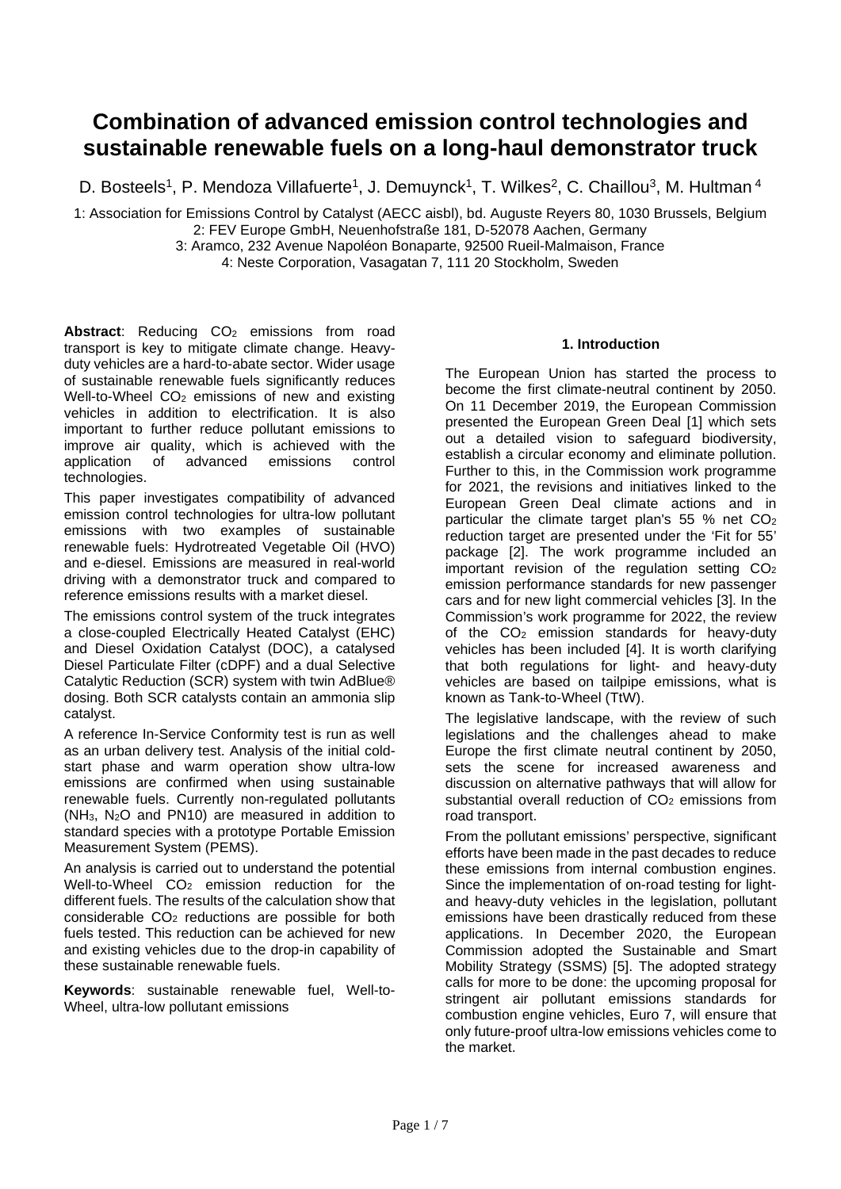# **Combination of advanced emission control technologies and sustainable renewable fuels on a long-haul demonstrator truck**

D. Bosteels<sup>1</sup>, P. Mendoza Villafuerte<sup>1</sup>, J. Demuynck<sup>1</sup>, T. Wilkes<sup>2</sup>, C. Chaillou<sup>3</sup>, M. Hultman <sup>4</sup>

1: Association for Emissions Control by Catalyst (AECC aisbl), bd. Auguste Reyers 80, 1030 Brussels, Belgium 2: FEV Europe GmbH, Neuenhofstraße 181, D-52078 Aachen, Germany

3: Aramco, 232 Avenue Napoléon Bonaparte, 92500 Rueil-Malmaison, France

4: Neste Corporation, Vasagatan 7, 111 20 Stockholm, Sweden

Abstract: Reducing CO<sub>2</sub> emissions from road transport is key to mitigate climate change. Heavyduty vehicles are a hard-to-abate sector. Wider usage of sustainable renewable fuels significantly reduces Well-to-Wheel  $CO<sub>2</sub>$  emissions of new and existing vehicles in addition to electrification. It is also important to further reduce pollutant emissions to improve air quality, which is achieved with the application of advanced emissions control technologies.

This paper investigates compatibility of advanced emission control technologies for ultra-low pollutant emissions with two examples of sustainable renewable fuels: Hydrotreated Vegetable Oil (HVO) and e-diesel. Emissions are measured in real-world driving with a demonstrator truck and compared to reference emissions results with a market diesel.

The emissions control system of the truck integrates a close-coupled Electrically Heated Catalyst (EHC) and Diesel Oxidation Catalyst (DOC), a catalysed Diesel Particulate Filter (cDPF) and a dual Selective Catalytic Reduction (SCR) system with twin AdBlue® dosing. Both SCR catalysts contain an ammonia slip catalyst.

A reference In-Service Conformity test is run as well as an urban delivery test. Analysis of the initial coldstart phase and warm operation show ultra-low emissions are confirmed when using sustainable renewable fuels. Currently non-regulated pollutants  $(NH<sub>3</sub>, N<sub>2</sub>O$  and PN10) are measured in addition to standard species with a prototype Portable Emission Measurement System (PEMS).

An analysis is carried out to understand the potential Well-to-Wheel CO<sub>2</sub> emission reduction for the different fuels. The results of the calculation show that considerable CO2 reductions are possible for both fuels tested. This reduction can be achieved for new and existing vehicles due to the drop-in capability of these sustainable renewable fuels.

**Keywords**: sustainable renewable fuel, Well-to-Wheel, ultra-low pollutant emissions

# **1. Introduction**

The European Union has started the process to become the first climate-neutral continent by 2050. On 11 December 2019, the European Commission presented the European Green Deal [1] which sets out a detailed vision to safeguard biodiversity, establish a circular economy and eliminate pollution. Further to this, in the Commission work programme for 2021, the revisions and initiatives linked to the European Green Deal climate actions and in particular the climate target plan's 55 % net  $CO<sub>2</sub>$ reduction target are presented under the 'Fit for 55' package [2]. The work programme included an  $\frac{1}{2}$  important revision of the regulation setting CO<sub>2</sub> emission performance standards for new passenger cars and for new light commercial vehicles [3]. In the Commission's work programme for 2022, the review of the  $CO<sub>2</sub>$  emission standards for heavy-duty vehicles has been included [4]. It is worth clarifying that both regulations for light- and heavy-duty vehicles are based on tailpipe emissions, what is known as Tank-to-Wheel (TtW).

The legislative landscape, with the review of such legislations and the challenges ahead to make Europe the first climate neutral continent by 2050, sets the scene for increased awareness and discussion on alternative pathways that will allow for substantial overall reduction of  $CO<sub>2</sub>$  emissions from road transport.

From the pollutant emissions' perspective, significant efforts have been made in the past decades to reduce these emissions from internal combustion engines. Since the implementation of on-road testing for lightand heavy-duty vehicles in the legislation, pollutant emissions have been drastically reduced from these applications. In December 2020, the European Commission adopted the Sustainable and Smart Mobility Strategy (SSMS) [5]. The adopted strategy calls for more to be done: the upcoming proposal for stringent air pollutant emissions standards for combustion engine vehicles, Euro 7, will ensure that only future-proof ultra-low emissions vehicles come to the market.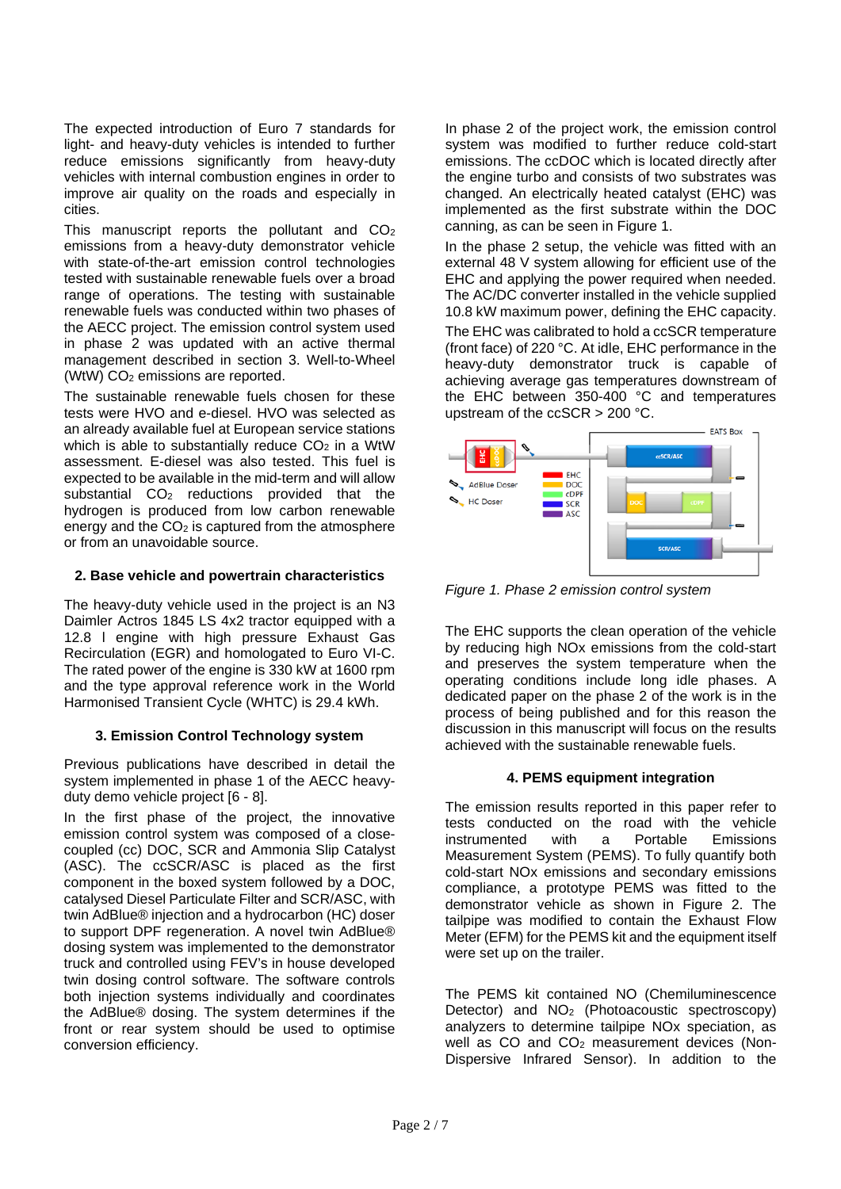The expected introduction of Euro 7 standards for light- and heavy-duty vehicles is intended to further reduce emissions significantly from heavy-duty vehicles with internal combustion engines in order to improve air quality on the roads and especially in cities.

This manuscript reports the pollutant and  $CO<sub>2</sub>$ emissions from a heavy-duty demonstrator vehicle with state-of-the-art emission control technologies tested with sustainable renewable fuels over a broad range of operations. The testing with sustainable renewable fuels was conducted within two phases of the AECC project. The emission control system used in phase 2 was updated with an active thermal management described in section 3. Well-to-Wheel (WtW) CO2 emissions are reported.

The sustainable renewable fuels chosen for these tests were HVO and e-diesel. HVO was selected as an already available fuel at European service stations which is able to substantially reduce  $CO<sub>2</sub>$  in a WtW assessment. E-diesel was also tested. This fuel is expected to be available in the mid-term and will allow substantial CO<sub>2</sub> reductions provided that the hydrogen is produced from low carbon renewable energy and the  $CO<sub>2</sub>$  is captured from the atmosphere or from an unavoidable source.

## **2. Base vehicle and powertrain characteristics**

The heavy-duty vehicle used in the project is an N3 Daimler Actros 1845 LS 4x2 tractor equipped with a 12.8 l engine with high pressure Exhaust Gas Recirculation (EGR) and homologated to Euro VI-C. The rated power of the engine is 330 kW at 1600 rpm and the type approval reference work in the World Harmonised Transient Cycle (WHTC) is 29.4 kWh.

## **3. Emission Control Technology system**

Previous publications have described in detail the system implemented in phase 1 of the AECC heavyduty demo vehicle project [6 - 8].

In the first phase of the project, the innovative emission control system was composed of a closecoupled (cc) DOC, SCR and Ammonia Slip Catalyst (ASC). The ccSCR/ASC is placed as the first component in the boxed system followed by a DOC, catalysed Diesel Particulate Filter and SCR/ASC, with twin AdBlue® injection and a hydrocarbon (HC) doser to support DPF regeneration. A novel twin AdBlue® dosing system was implemented to the demonstrator truck and controlled using FEV's in house developed twin dosing control software. The software controls both injection systems individually and coordinates the AdBlue® dosing. The system determines if the front or rear system should be used to optimise conversion efficiency.

In phase 2 of the project work, the emission control system was modified to further reduce cold-start emissions. The ccDOC which is located directly after the engine turbo and consists of two substrates was changed. An electrically heated catalyst (EHC) was implemented as the first substrate within the DOC canning, as can be seen in Figure 1.

In the phase 2 setup, the vehicle was fitted with an external 48 V system allowing for efficient use of the EHC and applying the power required when needed. The AC/DC converter installed in the vehicle supplied 10.8 kW maximum power, defining the EHC capacity.

The EHC was calibrated to hold a ccSCR temperature (front face) of 220 °C. At idle, EHC performance in the heavy-duty demonstrator truck is capable of achieving average gas temperatures downstream of the EHC between 350-400 °C and temperatures upstream of the ccSCR > 200 °C.



*Figure 1. Phase 2 emission control system*

The EHC supports the clean operation of the vehicle by reducing high NOx emissions from the cold-start and preserves the system temperature when the operating conditions include long idle phases. A dedicated paper on the phase 2 of the work is in the process of being published and for this reason the discussion in this manuscript will focus on the results achieved with the sustainable renewable fuels.

## **4. PEMS equipment integration**

The emission results reported in this paper refer to tests conducted on the road with the vehicle instrumented with a Portable Emissions Measurement System (PEMS). To fully quantify both cold-start NOx emissions and secondary emissions compliance, a prototype PEMS was fitted to the demonstrator vehicle as shown in Figure 2. The tailpipe was modified to contain the Exhaust Flow Meter (EFM) for the PEMS kit and the equipment itself were set up on the trailer.

The PEMS kit contained NO (Chemiluminescence Detector) and NO<sub>2</sub> (Photoacoustic spectroscopy) analyzers to determine tailpipe NOx speciation, as well as CO and CO<sub>2</sub> measurement devices (Non-Dispersive Infrared Sensor). In addition to the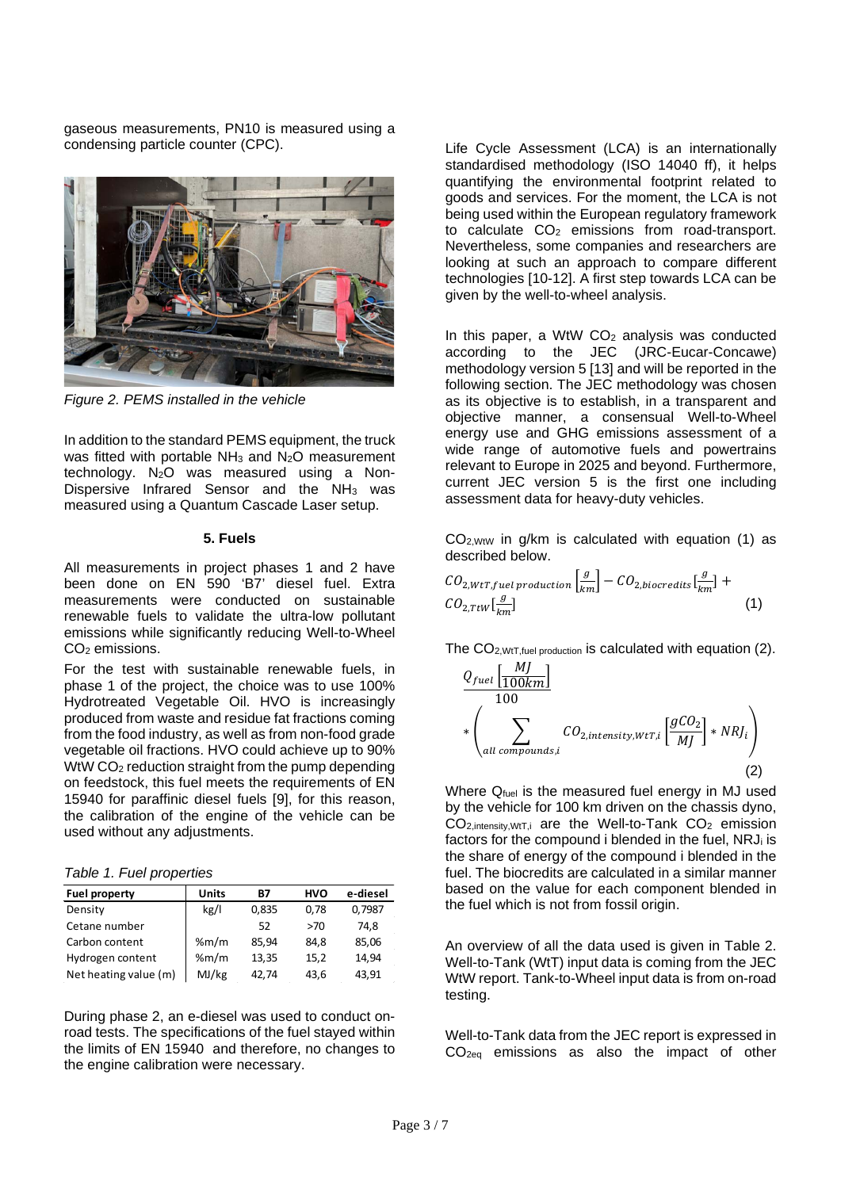gaseous measurements, PN10 is measured using a condensing particle counter (CPC).



*Figure 2. PEMS installed in the vehicle*

In addition to the standard PEMS equipment, the truck was fitted with portable  $NH<sub>3</sub>$  and  $N<sub>2</sub>O$  measurement technology.  $N_2O$  was measured using a Non-Dispersive Infrared Sensor and the  $NH<sub>3</sub>$  was measured using a Quantum Cascade Laser setup.

#### **5. Fuels**

All measurements in project phases 1 and 2 have been done on EN 590 'B7' diesel fuel. Extra measurements were conducted on sustainable renewable fuels to validate the ultra-low pollutant emissions while significantly reducing Well-to-Wheel CO2 emissions.

For the test with sustainable renewable fuels, in phase 1 of the project, the choice was to use 100% Hydrotreated Vegetable Oil. HVO is increasingly produced from waste and residue fat fractions coming from the food industry, as well as from non-food grade vegetable oil fractions. HVO could achieve up to 90% WtW CO<sub>2</sub> reduction straight from the pump depending on feedstock, this fuel meets the requirements of EN 15940 for paraffinic diesel fuels [9], for this reason, the calibration of the engine of the vehicle can be used without any adjustments.

*Table 1. Fuel properties*

| <b>Fuel property</b>  | <b>Units</b> | <b>B7</b> | <b>HVO</b> | e-diesel |
|-----------------------|--------------|-----------|------------|----------|
| Density               | kg/l         | 0,835     | 0.78       | 0,7987   |
| Cetane number         |              | 52        | >70        | 74.8     |
| Carbon content        | % $m/m$      | 85,94     | 84.8       | 85,06    |
| Hydrogen content      | % $m/m$      | 13,35     | 15,2       | 14,94    |
| Net heating value (m) | MJ/kg        | 42.74     | 43,6       | 43,91    |

During phase 2, an e-diesel was used to conduct onroad tests. The specifications of the fuel stayed within the limits of EN 15940 and therefore, no changes to the engine calibration were necessary.

Life Cycle Assessment (LCA) is an internationally standardised methodology (ISO 14040 ff), it helps quantifying the environmental footprint related to goods and services. For the moment, the LCA is not being used within the European regulatory framework to calculate  $CO<sub>2</sub>$  emissions from road-transport. Nevertheless, some companies and researchers are looking at such an approach to compare different technologies [10-12]. A first step towards LCA can be given by the well-to-wheel analysis.

In this paper, a WtW  $CO<sub>2</sub>$  analysis was conducted according to the JEC (JRC-Eucar-Concawe) methodology version 5 [13] and will be reported in the following section. The JEC methodology was chosen as its objective is to establish, in a transparent and objective manner, a consensual Well-to-Wheel energy use and GHG emissions assessment of a wide range of automotive fuels and powertrains relevant to Europe in 2025 and beyond. Furthermore, current JEC version 5 is the first one including assessment data for heavy-duty vehicles.

 $CO<sub>2</sub>$ <sub>WtW</sub> in  $q/km$  is calculated with equation (1) as described below.

$$
CO_{2,WtT, fuel\ production} \left[\frac{g}{km}\right] - CO_{2,biocredits} \left[\frac{g}{km}\right] + CO_{2,TtW} \left[\frac{g}{km}\right] \tag{1}
$$

The CO2,WtT,fuel production is calculated with equation (2).

$$
\underbrace{Q_{fuel} \left[ \frac{MJ}{100km} \right]}_{* \left( \sum_{all\ compounds,i} CO_{2,intensity, WtT, i} \left[ \frac{gCO_2}{MJ} \right] * NRJ_i \right)
$$
\n(2)

Where  $Q_{fuel}$  is the measured fuel energy in MJ used by the vehicle for 100 km driven on the chassis dyno,  $CO<sub>2,intensity, WtT,i}</sub>$  are the Well-to-Tank  $CO<sub>2</sub>$  emission factors for the compound i blended in the fuel, NRJ<sub>i</sub> is the share of energy of the compound i blended in the fuel. The biocredits are calculated in a similar manner based on the value for each component blended in the fuel which is not from fossil origin.

An overview of all the data used is given in Table 2. Well-to-Tank (WtT) input data is coming from the JEC WtW report. Tank-to-Wheel input data is from on-road testing.

Well-to-Tank data from the JEC report is expressed in CO2eq emissions as also the impact of other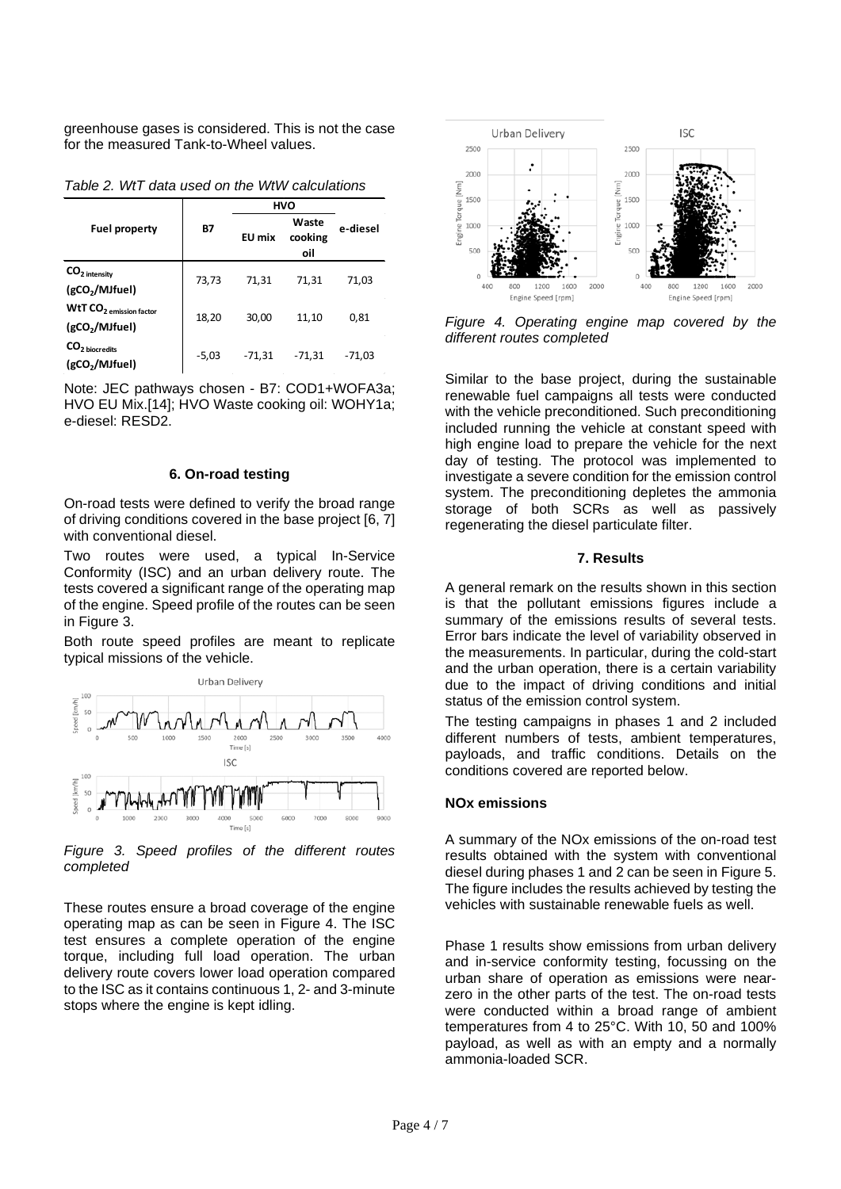greenhouse gases is considered. This is not the case for the measured Tank-to-Wheel values.

|                                                                   | <b>B7</b> | <b>HVO</b>    |                         |          |
|-------------------------------------------------------------------|-----------|---------------|-------------------------|----------|
| <b>Fuel property</b>                                              |           | <b>EU</b> mix | Waste<br>cooking<br>oil | e-diesel |
| $CO2$ intensity<br>(gCO <sub>2</sub> /MJfuel)                     | 73,73     | 71,31         | 71,31                   | 71,03    |
| WtT CO <sub>2</sub> emission factor<br>(gCO <sub>2</sub> /MJfuel) | 18,20     | 30,00         | 11,10                   | 0,81     |
| CO <sub>2</sub> biocredits<br>(gCO <sub>2</sub> /MJfuel)          | $-5,03$   | $-71,31$      | $-71,31$                | $-71,03$ |

*Table 2. WtT data used on the WtW calculations*

Note: JEC pathways chosen - B7: COD1+WOFA3a; HVO EU Mix.[14]; HVO Waste cooking oil: WOHY1a; e-diesel: RESD2.

#### **6. On-road testing**

On-road tests were defined to verify the broad range of driving conditions covered in the base project [6, 7] with conventional diesel

Two routes were used, a typical In-Service Conformity (ISC) and an urban delivery route. The tests covered a significant range of the operating map of the engine. Speed profile of the routes can be seen in Figure 3.

Both route speed profiles are meant to replicate typical missions of the vehicle.



*Figure 3. Speed profiles of the different routes completed*

These routes ensure a broad coverage of the engine operating map as can be seen in Figure 4. The ISC test ensures a complete operation of the engine torque, including full load operation. The urban delivery route covers lower load operation compared to the ISC as it contains continuous 1, 2- and 3-minute stops where the engine is kept idling.



*Figure 4. Operating engine map covered by the different routes completed*

Similar to the base project, during the sustainable renewable fuel campaigns all tests were conducted with the vehicle preconditioned. Such preconditioning included running the vehicle at constant speed with high engine load to prepare the vehicle for the next day of testing. The protocol was implemented to investigate a severe condition for the emission control system. The preconditioning depletes the ammonia storage of both SCRs as well as passively regenerating the diesel particulate filter.

## **7. Results**

A general remark on the results shown in this section is that the pollutant emissions figures include a summary of the emissions results of several tests. Error bars indicate the level of variability observed in the measurements. In particular, during the cold-start and the urban operation, there is a certain variability due to the impact of driving conditions and initial status of the emission control system.

The testing campaigns in phases 1 and 2 included different numbers of tests, ambient temperatures, payloads, and traffic conditions. Details on the conditions covered are reported below.

## **NOx emissions**

A summary of the NOx emissions of the on-road test results obtained with the system with conventional diesel during phases 1 and 2 can be seen in Figure 5. The figure includes the results achieved by testing the vehicles with sustainable renewable fuels as well.

Phase 1 results show emissions from urban delivery and in-service conformity testing, focussing on the urban share of operation as emissions were nearzero in the other parts of the test. The on-road tests were conducted within a broad range of ambient temperatures from 4 to 25°C. With 10, 50 and 100% payload, as well as with an empty and a normally ammonia-loaded SCR.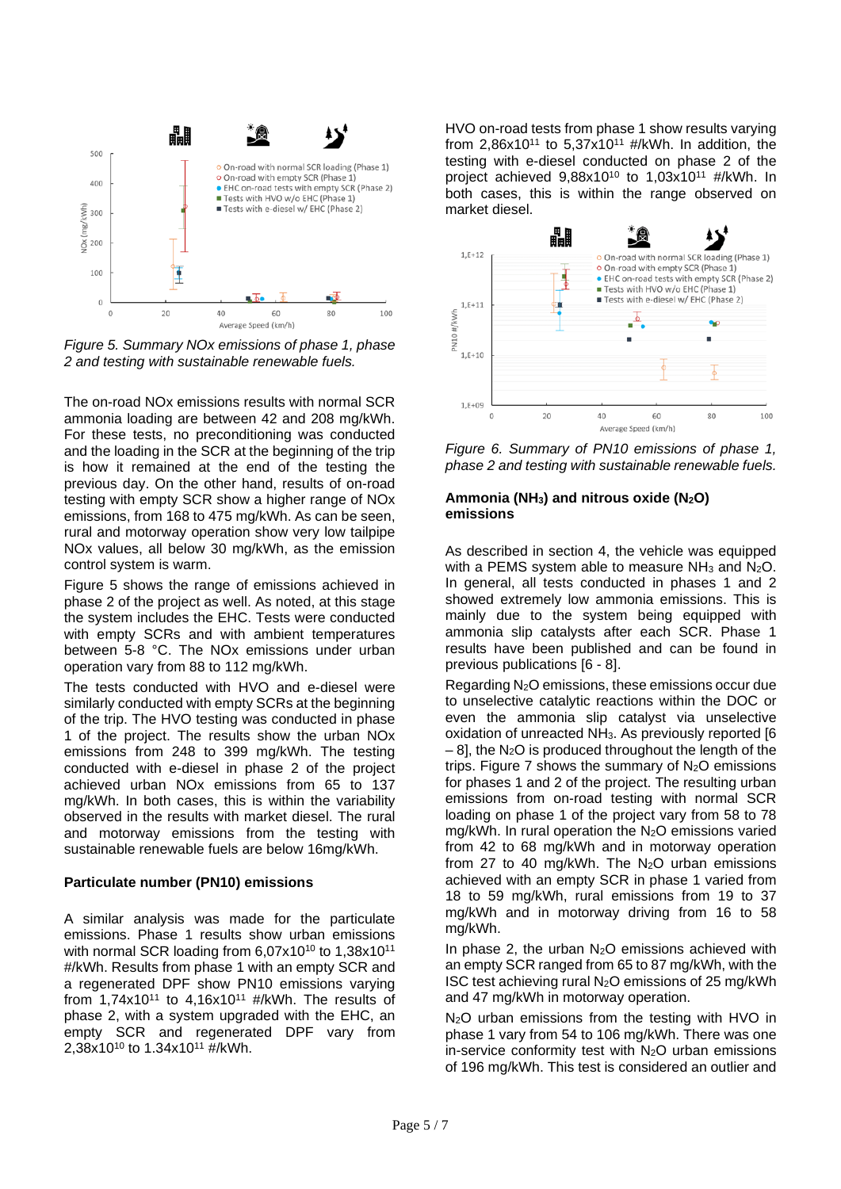

*Figure 5. Summary NOx emissions of phase 1, phase 2 and testing with sustainable renewable fuels.*

The on-road NOx emissions results with normal SCR ammonia loading are between 42 and 208 mg/kWh. For these tests, no preconditioning was conducted and the loading in the SCR at the beginning of the trip is how it remained at the end of the testing the previous day. On the other hand, results of on-road testing with empty SCR show a higher range of NOx emissions, from 168 to 475 mg/kWh. As can be seen, rural and motorway operation show very low tailpipe NOx values, all below 30 mg/kWh, as the emission control system is warm.

Figure 5 shows the range of emissions achieved in phase 2 of the project as well. As noted, at this stage the system includes the EHC. Tests were conducted with empty SCRs and with ambient temperatures between 5-8 °C. The NOx emissions under urban operation vary from 88 to 112 mg/kWh.

The tests conducted with HVO and e-diesel were similarly conducted with empty SCRs at the beginning of the trip. The HVO testing was conducted in phase 1 of the project. The results show the urban NOx emissions from 248 to 399 mg/kWh. The testing conducted with e-diesel in phase 2 of the project achieved urban NOx emissions from 65 to 137 mg/kWh. In both cases, this is within the variability observed in the results with market diesel. The rural and motorway emissions from the testing with sustainable renewable fuels are below 16mg/kWh.

#### **Particulate number (PN10) emissions**

A similar analysis was made for the particulate emissions. Phase 1 results show urban emissions with normal SCR loading from 6,07x10<sup>10</sup> to 1,38x10<sup>11</sup> #/kWh. Results from phase 1 with an empty SCR and a regenerated DPF show PN10 emissions varying from  $1,74x10^{11}$  to  $4,16x10^{11}$  #/kWh. The results of phase 2, with a system upgraded with the EHC, an empty SCR and regenerated DPF vary from 2,38x1010 to 1.34x1011 #/kWh.

HVO on-road tests from phase 1 show results varying from 2,86x10<sup>11</sup> to 5,37x10<sup>11</sup> #/kWh. In addition, the testing with e-diesel conducted on phase 2 of the project achieved  $9,88x10^{10}$  to  $1,03x10^{11}$  #/kWh. In both cases, this is within the range observed on market diesel.



*Figure 6. Summary of PN10 emissions of phase 1, phase 2 and testing with sustainable renewable fuels.*

#### Ammonia (NH<sub>3</sub>) and nitrous oxide (N<sub>2</sub>O) **emissions**

As described in section 4, the vehicle was equipped with a PEMS system able to measure  $NH<sub>3</sub>$  and  $N<sub>2</sub>O$ . In general, all tests conducted in phases 1 and 2 showed extremely low ammonia emissions. This is mainly due to the system being equipped with ammonia slip catalysts after each SCR. Phase 1 results have been published and can be found in previous publications [6 - 8].

Regarding N2O emissions, these emissions occur due to unselective catalytic reactions within the DOC or even the ammonia slip catalyst via unselective oxidation of unreacted NH3. As previously reported [6  $-8$ ], the N<sub>2</sub>O is produced throughout the length of the trips. Figure 7 shows the summary of  $N_2O$  emissions for phases 1 and 2 of the project. The resulting urban emissions from on-road testing with normal SCR loading on phase 1 of the project vary from 58 to 78 mg/kWh. In rural operation the  $N_2O$  emissions varied from 42 to 68 mg/kWh and in motorway operation from 27 to 40 mg/kWh. The  $N_2O$  urban emissions achieved with an empty SCR in phase 1 varied from 18 to 59 mg/kWh, rural emissions from 19 to 37 mg/kWh and in motorway driving from 16 to 58 mg/kWh.

In phase 2, the urban  $N_2O$  emissions achieved with an empty SCR ranged from 65 to 87 mg/kWh, with the ISC test achieving rural  $N_2O$  emissions of 25 mg/kWh and 47 mg/kWh in motorway operation.

N<sub>2</sub>O urban emissions from the testing with HVO in phase 1 vary from 54 to 106 mg/kWh. There was one in-service conformity test with  $N_2O$  urban emissions of 196 mg/kWh. This test is considered an outlier and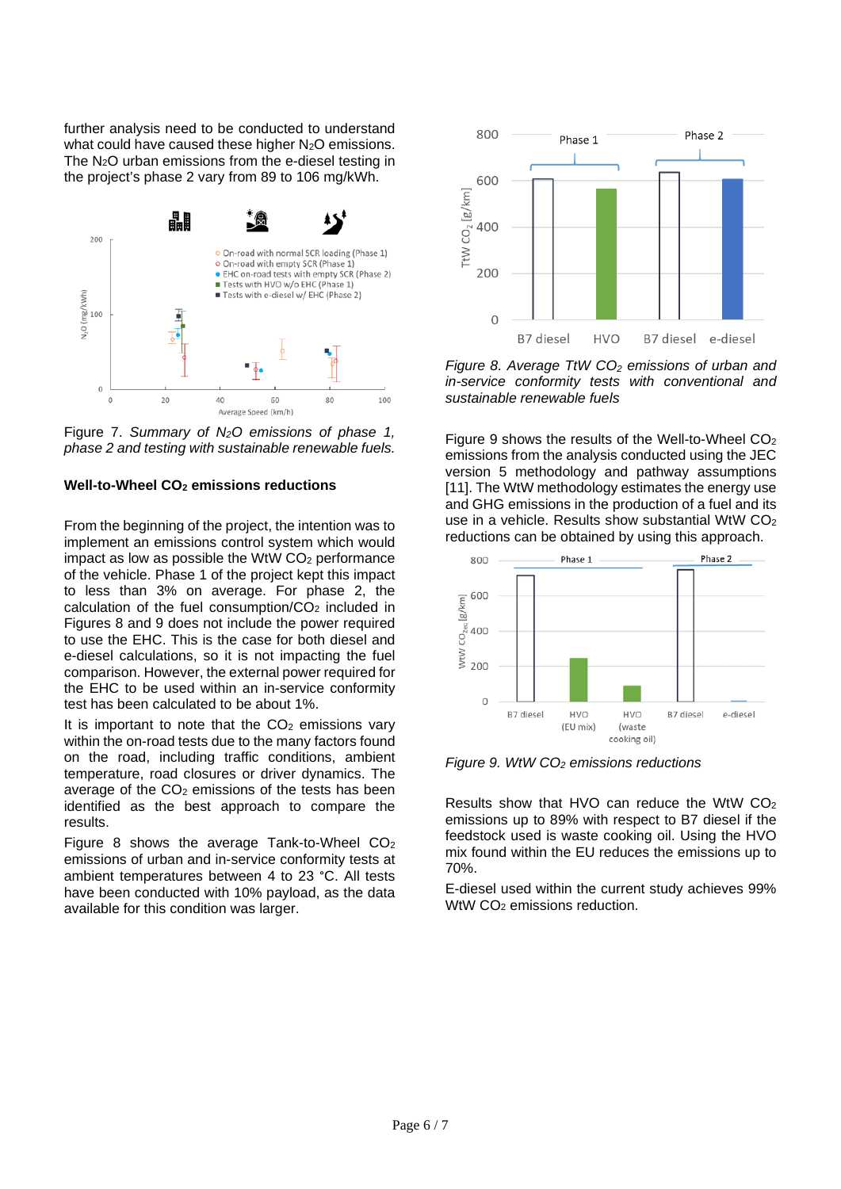further analysis need to be conducted to understand what could have caused these higher N<sub>2</sub>O emissions. The N2O urban emissions from the e-diesel testing in the project's phase 2 vary from 89 to 106 mg/kWh.



Figure 7. *Summary of N2O emissions of phase 1, phase 2 and testing with sustainable renewable fuels.*

## **Well-to-Wheel CO2 emissions reductions**

From the beginning of the project, the intention was to implement an emissions control system which would impact as low as possible the WtW  $CO<sub>2</sub>$  performance of the vehicle. Phase 1 of the project kept this impact to less than 3% on average. For phase 2, the calculation of the fuel consumption/ $CO<sub>2</sub>$  included in Figures 8 and 9 does not include the power required to use the EHC. This is the case for both diesel and e-diesel calculations, so it is not impacting the fuel comparison. However, the external power required for the EHC to be used within an in-service conformity test has been calculated to be about 1%.

It is important to note that the  $CO<sub>2</sub>$  emissions vary within the on-road tests due to the many factors found on the road, including traffic conditions, ambient temperature, road closures or driver dynamics. The average of the  $CO<sub>2</sub>$  emissions of the tests has been identified as the best approach to compare the results.

Figure 8 shows the average Tank-to-Wheel  $CO<sub>2</sub>$ emissions of urban and in-service conformity tests at ambient temperatures between 4 to 23 °C. All tests have been conducted with 10% payload, as the data available for this condition was larger.



*Figure 8. Average TtW CO<sub>2</sub> emissions of urban and in-service conformity tests with conventional and sustainable renewable fuels*

Figure 9 shows the results of the Well-to-Wheel CO2 emissions from the analysis conducted using the JEC version 5 methodology and pathway assumptions [11]. The WtW methodology estimates the energy use and GHG emissions in the production of a fuel and its use in a vehicle. Results show substantial WtW  $CO<sub>2</sub>$ reductions can be obtained by using this approach.



*Figure 9. WtW CO2 emissions reductions*

Results show that HVO can reduce the WtW CO2 emissions up to 89% with respect to B7 diesel if the feedstock used is waste cooking oil. Using the HVO mix found within the EU reduces the emissions up to 70%.

E-diesel used within the current study achieves 99% WtW CO<sub>2</sub> emissions reduction.